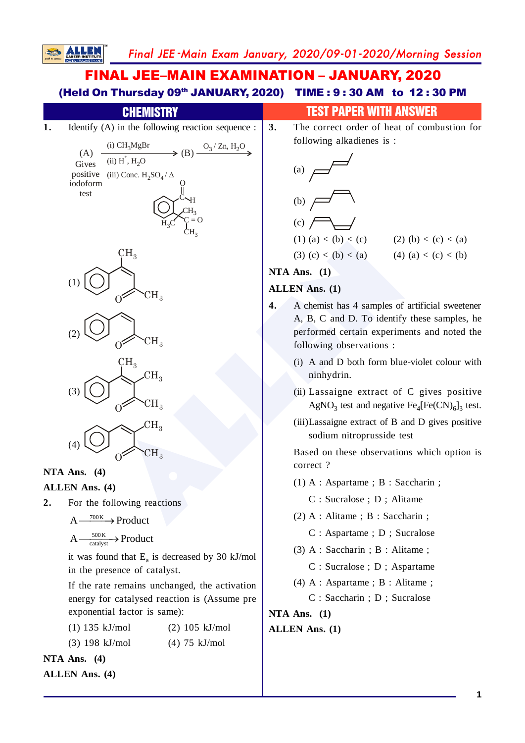## FINAL JEE–MAIN EXAMINATION – JANUARY, 2020 (Held On Thursday 09<sup>th</sup> JANUARY, 2020) TIME: 9:30 AM to 12:30 PM



If the rate remains unchanged, the activation energy for catalysed reaction is (Assume pre exponential factor is same):

| $(1)$ 135 kJ/mol | $(2)$ 105 kJ/mol |
|------------------|------------------|
| (3) 198 kJ/mol   | $(4)$ 75 kJ/mol  |
| $\sqrt{4}$       |                  |

**NTA Ans. (4)**

**SED ALLEY** 

#### **ALLEN Ans. (4)**

**3.** The correct order of heat of combustion for following alkadienes is :



#### **NTA Ans. (1)**

#### **ALLEN Ans. (1)**

- **4.** A chemist has 4 samples of artificial sweetener A, B, C and D. To identify these samples, he performed certain experiments and noted the following observations :
	- (i) A and D both form blue-violet colour with ninhydrin.
	- (ii) Lassaigne extract of C gives positive AgNO<sub>3</sub> test and negative  $Fe_4[Fe(CN)_6]_3$  test.
	- (iii)Lassaigne extract of B and D gives positive sodium nitroprusside test

Based on these observations which option is correct ?

(1) A : Aspartame ; B : Saccharin ;

C : Sucralose ; D ; Alitame

- (2) A : Alitame ; B : Saccharin ;
	- C : Aspartame ; D ; Sucralose
- (3) A : Saccharin ; B : Alitame ;
	- C : Sucralose ; D ; Aspartame
- (4) A : Aspartame ; B : Alitame ;
	- C : Saccharin ; D ; Sucralose

### **NTA Ans. (1)**

**ALLEN Ans. (1)**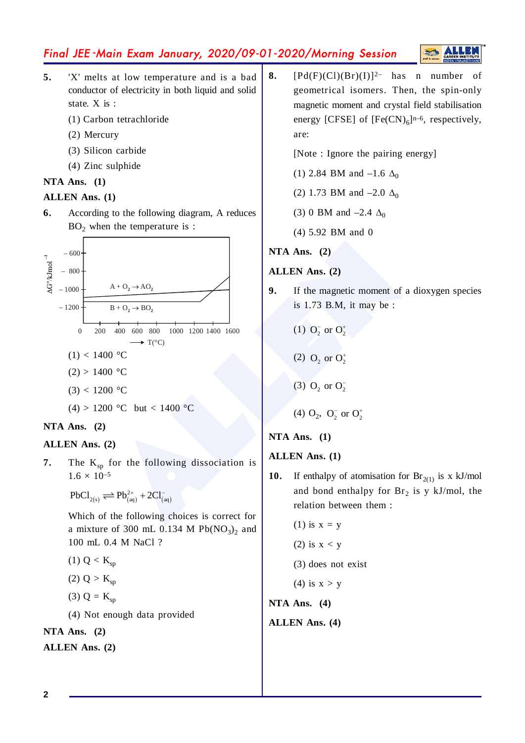## Final JEE -Main Exam January, 2020/09-01-2020/Morning Session

- **5.** 'X' melts at low temperature and is a bad conductor of electricity in both liquid and solid state. X is :
	- (1) Carbon tetrachloride
	- (2) Mercury
	- (3) Silicon carbide
	- (4) Zinc sulphide

#### **NTA Ans. (1)**

#### **ALLEN Ans. (1)**

**6.** According to the following diagram, A reduces  $BO<sub>2</sub>$  when the temperature is :



#### **NTA Ans. (2)**

#### **ALLEN Ans. (2)**

**7.** The  $K_{\text{sn}}$  for the following dissociation is  $1.6 \times 10^{-5}$ 

 $PbCl_{2(s)} \rightleftharpoons Pb_{(aq)}^{2+} + 2Cl_{(aq)}^{-}$ 

Which of the following choices is correct for a mixture of 300 mL  $0.134$  M  $Pb(NO<sub>3</sub>)<sub>2</sub>$  and 100 mL 0.4 M NaCl ?

- (1)  $Q < K_{\rm sn}$
- (2)  $Q > K_{sn}$
- (3)  $Q = K_{\rm{sp}}$

(4) Not enough data provided

**NTA Ans. (2) ALLEN Ans. (2)** **8.**  $[Pd(F)(C1)(Br)(I)]^{2-}$  has n number of geometrical isomers. Then, the spin-only magnetic moment and crystal field stabilisation energy [CFSE] of  $[Fe(CN)_6]^{n-6}$ , respectively, are:

[Note : Ignore the pairing energy]

- (1) 2.84 BM and  $-1.6 \Delta_0$
- (2) 1.73 BM and  $-2.0 \Delta_0$
- (3) 0 BM and  $-2.4 \Delta_0$
- (4) 5.92 BM and 0

**NTA Ans. (2)**

#### **ALLEN Ans. (2)**

- **9.** If the magnetic moment of a dioxygen species is 1.73 B.M, it may be :
	- (1)  $O_2^-$  or  $O_2^+$
	- (2)  $O_2$  or  $O_2^+$
	- (3)  $O_2$  or  $O_2^-$

(4) 
$$
O_2
$$
,  $O_2^-$  or  $O_2^+$ 

#### **NTA Ans. (1)**

**ALLEN Ans. (1)**

- **10.** If enthalpy of atomisation for  $\text{Br}_{2(1)}$  is x kJ/mol and bond enthalpy for  $Br_2$  is y kJ/mol, the relation between them :
	- $(1)$  is  $x = y$
	- (2) is  $x < y$
	- (3) does not exist

(4) is  $x > y$ 

**NTA Ans. (4)**

**ALLEN Ans. (4)**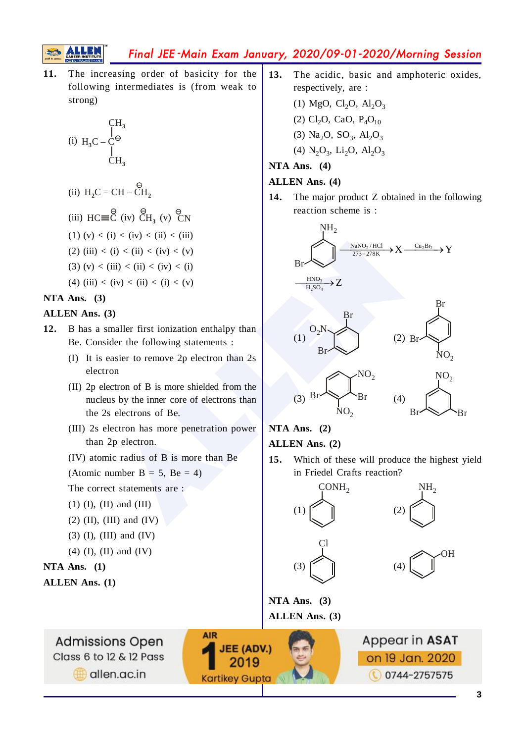

**11.** The increasing order of basicity for the following intermediates is (from weak to strong)

$$
(i) H3C - CTheta
$$
  
\n
$$
H3C - CTheta
$$
  
\n
$$
CH3
$$

ALLEI

あわ

(ii)  $H_2C = CH - \overline{CH_2}$ 

(iii) 
$$
HC \equiv \stackrel{\ominus}{C}
$$
 (iv)  $\stackrel{\ominus}{CH}_3$  (v)  $\stackrel{\ominus}{CN}$ 

- (1) (v) < (i) < (iv) < (ii) < (iii)
- (2) (iii) < (i) < (ii) < (iv) < (v)
- (3) (v) < (iii) < (ii) < (iv) < (i)
- (4) (iii) < (iv) < (ii) < (i) < (v)

#### **NTA Ans. (3)**

#### **ALLEN Ans. (3)**

- **12.** B has a smaller first ionization enthalpy than Be. Consider the following statements :
	- (I) It is easier to remove 2p electron than 2s electron
	- (II) 2p electron of B is more shielded from the nucleus by the inner core of electrons than the 2s electrons of Be.
	- (III) 2s electron has more penetration power than 2p electron.
	- (IV) atomic radius of B is more than Be
	- (Atomic number  $B = 5$ ,  $Be = 4$ )

The correct statements are :

- $(1)$   $(I)$ ,  $(II)$  and  $(III)$
- (2) (II), (III) and (IV)
- $(3)$  (I), (III) and (IV)
- (4) (I), (II) and (IV)

# **NTA Ans. (1)**

**ALLEN Ans. (1)**

- **13.** The acidic, basic and amphoteric oxides, respectively, are : (1) MgO, Cl<sub>2</sub>O, Al<sub>2</sub>O<sub>3</sub> (2)  $Cl_2O$ , CaO,  $P_4O_{10}$ (3)  $Na<sub>2</sub>O$ ,  $SO<sub>3</sub>$ ,  $Al<sub>2</sub>O<sub>3</sub>$
- (4)  $N_2O_3$ ,  $Li_2O$ ,  $Al_2O_3$ **NTA Ans. (4)**

### **ALLEN Ans. (4)**

**14.** The major product Z obtained in the following reaction scheme is :



#### **NTA Ans. (2)**

#### **ALLEN Ans. (2)**

**15.** Which of these will produce the highest yield in Friedel Crafts reaction?





Appear in ASAT

NH 2

**NTA Ans. (3) ALLEN Ans. (3)**

(3)

**AIR Admissions Open JEE (ADV.)** Class 6 to 12 & 12 Pass 2019 dlen.ac.in **Kartikey Gupta** 

on 19 Jan. 2020 **0744-2757575**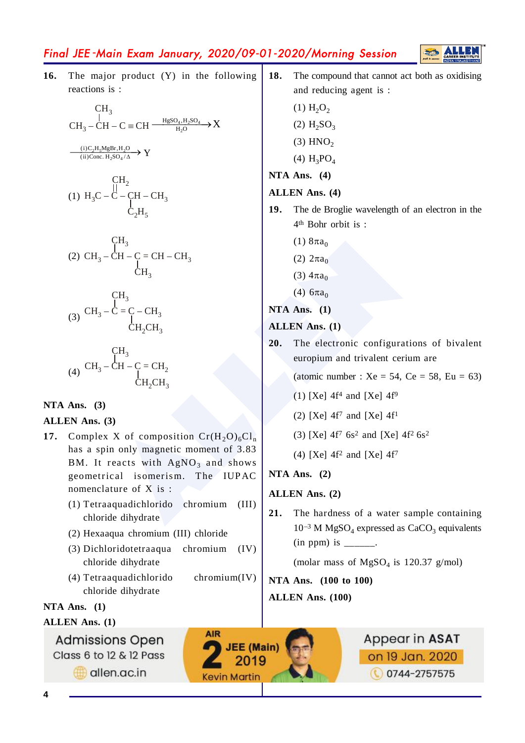## Final JEE -Main Exam January, 2020/09-01-2020/Morning Session

**16.** The major product (Y) in the following reactions is :

$$
\begin{array}{c}\nCH_3\\CH_3-CH-C\equiv CH \xrightarrow{\text{HgSO}_4,\text{H}_2\text{SO}_4}\n\end{array} X
$$

$$
\xrightarrow{\text{(i)C}_2\text{H}_5\text{MgBr},\text{H}_2\text{O}} Y
$$
  
(ii)Conc. H<sub>2</sub>SO<sub>4</sub>/ $\Delta$ 

$$
(1) H3C - C - CH - CH3 C2H5
$$

$$
CH_3 - CH_3 - CH - C = CH - CH_3
$$
  
CH<sub>3</sub>

$$
CH_3 - C = C - CH_3
$$
  
(3) CH<sub>3</sub> - C = C - CH<sub>3</sub>  
CH<sub>2</sub>CH<sub>3</sub>

$$
CH_3 - CH_3 - CH - C = CH_2
$$
  
(4) CH<sub>3</sub> - CH - C = CH<sub>2</sub>  
CH<sub>2</sub>CH<sub>3</sub>

#### **NTA Ans. (3)**

#### **ALLEN Ans. (3)**

- CH<sub>3</sub><br>
CH<sub>3</sub><br>
CH<sub>3</sub><br>
CH<sub>2</sub>CH<sub>3</sub><br>
CH<sub>2</sub>CH<sub>3</sub><br>
CH<sub>2</sub>CH<sub>3</sub><br>
CH<sub>2</sub>CH<sub>3</sub><br>
CH<sub>2</sub>CH<sub>3</sub><br>
CH<sub>2</sub>CH<sub>3</sub><br>
CH<sub>2</sub>CH<sub>3</sub><br>
CH<sub>2</sub>CH<sub>3</sub><br>
CH<sub>2</sub>CH<sub>3</sub><br>
CH<sub>2</sub>CH<sub>3</sub><br>
20. The electronic configuration<br>
europium and trivalent cerium<br>
europium and tr **17.** Complex X of composition  $Cr(H_2O)_6Cl_n$ has a spin only magnetic moment of 3.83 BM. It reacts with AgNO<sub>3</sub> and shows geometrical isomerism. The IUPAC nomenclature of X is :
	- (1) Tetraaquadichlorido chromium (III) chloride dihydrate
	- (2) Hexaaqua chromium (III) chloride
	- (3) Dichloridotetraaqua chromium (IV) chloride dihydrate
	- (4) Tetraaquadichlorido chromium(IV) chloride dihydrate

**AIR** 

**JEE** (Main)

2019

**Kevin Martin** 

#### **NTA Ans. (1)**

**ALLEN Ans. (1)**

**Admissions Open** Class 6 to 12 & 12 Pass

allen.ac.in

**18.** The compound that cannot act both as oxidising and reducing agent is :

**ALLE** 

- $(1)$  H<sub>2</sub>O<sub>2</sub>
- (2)  $H_2SO_3$
- $(3)$  HNO<sub>2</sub>
- $(4) H_3PO_4$

**NTA Ans. (4)**

#### **ALLEN Ans. (4)**

- **19.** The de Broglie wavelength of an electron in the 4th Bohr orbit is :
	- (1)  $8πa<sub>0</sub>$
	- (2)  $2πa_0$
	- (3)  $4\pi a_0$
	- (4)  $6πa_0$
- **NTA Ans. (1)**

#### **ALLEN Ans. (1)**

**20.** The electronic configurations of bivalent europium and trivalent cerium are

(atomic number :  $Xe = 54$ ,  $Ce = 58$ ,  $Eu = 63$ )

- (1) [Xe]  $4f<sup>4</sup>$  and [Xe]  $4f<sup>9</sup>$
- $(2)$  [Xe]  $4f<sup>7</sup>$  and [Xe]  $4f<sup>1</sup>$
- (3) [Xe] 4f7 6s <sup>2</sup> and [Xe] 4f2 6s 2
- (4)  $[Xe]$  4f<sup>2</sup> and  $[Xe]$  4f<sup>7</sup>

#### **NTA Ans. (2)**

#### **ALLEN Ans. (2)**

**21.** The hardness of a water sample containing  $10^{-3}$  M MgSO<sub>4</sub> expressed as CaCO<sub>3</sub> equivalents  $(in ppm)$  is  $\_\_\_\_\_\_\_\_\_\_\_\$ 

(molar mass of  $MgSO<sub>4</sub>$  is 120.37 g/mol)

**NTA Ans. (100 to 100)**

**ALLEN Ans. (100)**